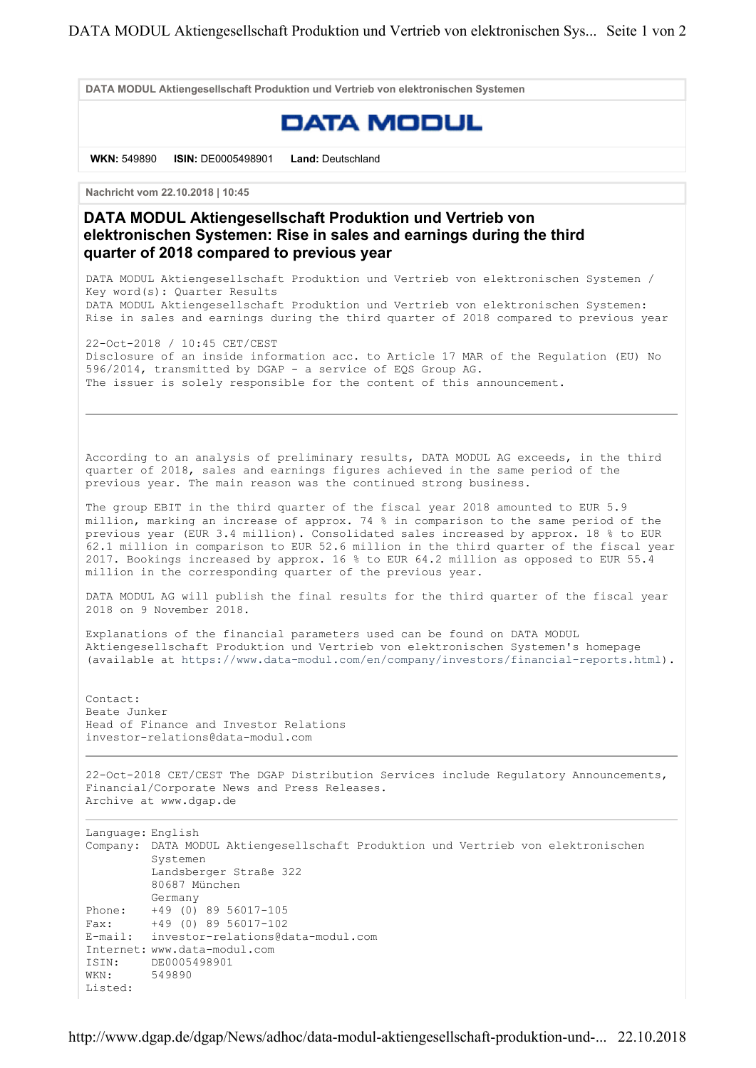